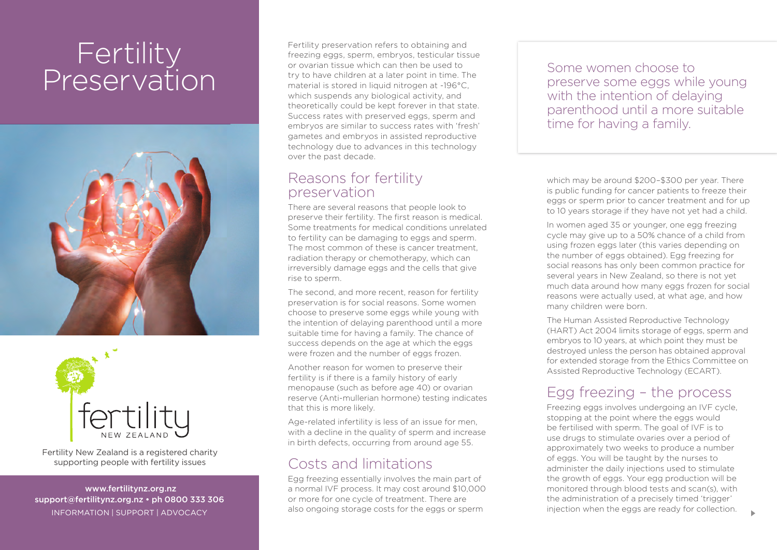# **Fertility** Preservation





Fertility New Zealand is a registered charity supporting people with fertility issues

 www.fertilitynz.org.nz support@fertilitynz.org.nz • ph 0800 333 306 inf ormation | support | advocacy

Fertility preservation refers to obtaining and freezing eggs, sperm, embryos, testicular tissue or ovarian tissue which can then be used to try to have children at a later point in time. The material is stored in liquid nitrogen at -196°C, which suspends any biological activity, and theoretically could be kept forever in that state. Success rates with preserved eggs, sperm and embryos are similar to success rates with 'fresh' gametes and embryos in assisted reproductive technology due to advances in this technology over the past decade.

## Reasons for fertility preservation

There are several reasons that people look to preserve their fertility. The first reason is medical. Some treatments for medical conditions unrelated to fertility can be damaging to eggs and sperm. The most common of these is cancer treatment, radiation therapy or chemotherapy, which can irreversibly damage eggs and the cells that give rise to sperm.

The second, and more recent, reason for fertility preservation is for social reasons. Some women choose to preserve some eggs while young with the intention of delaying parenthood until a more suitable time for having a family. The chance of success depends on the age at which the eggs were frozen and the number of eggs frozen.

Another reason for women to preserve their fertility is if there is a family history of early menopause (such as before age 40) or ovarian reserve (Anti-mullerian hormone) testing indicates that this is more likely.

Age-related infertility is less of an issue for men, with a decline in the quality of sperm and increase in birth defects, occurring from around age 55.

# Costs and limitations

Egg freezing essentially involves the main part of a normal IVF process. It may cost around \$10,000 or more for one cycle of treatment. There are also ongoing storage costs for the eggs or sperm

Some women choose to preserve some eggs while young with the intention of delaying parenthood until a more suitable time for having a family.

which may be around \$200–\$300 per year. There is public funding for cancer patients to freeze their eggs or sperm prior to cancer treatment and for up to 10 years storage if they have not yet had a child.

In women aged 35 or younger, one egg freezing cycle may give up to a 50% chance of a child from using frozen eggs later (this varies depending on the number of eggs obtained). Egg freezing for social reasons has only been common practice for several years in New Zealand, so there is not yet much data around how many eggs frozen for social reasons were actually used, at what age, and how many children were born.

The Human Assisted Reproductive Technology (HART) Act 2004 limits storage of eggs, sperm and embryos to 10 years, at which point they must be destroyed unless the person has obtained approval for extended storage from the Ethics Committee on Assisted Reproductive Technology (ECART).

## Egg freezing – the process

Freezing eggs involves undergoing an IVF cycle, stopping at the point where the eggs would be fertilised with sperm. The goal of IVF is to use drugs to stimulate ovaries over a period of approximately two weeks to produce a number of eggs. You will be taught by the nurses to administer the daily injections used to stimulate the growth of eggs. Your egg production will be monitored through blood tests and scan(s), with the administration of a precisely timed 'trigger' injection when the eggs are ready for collection.